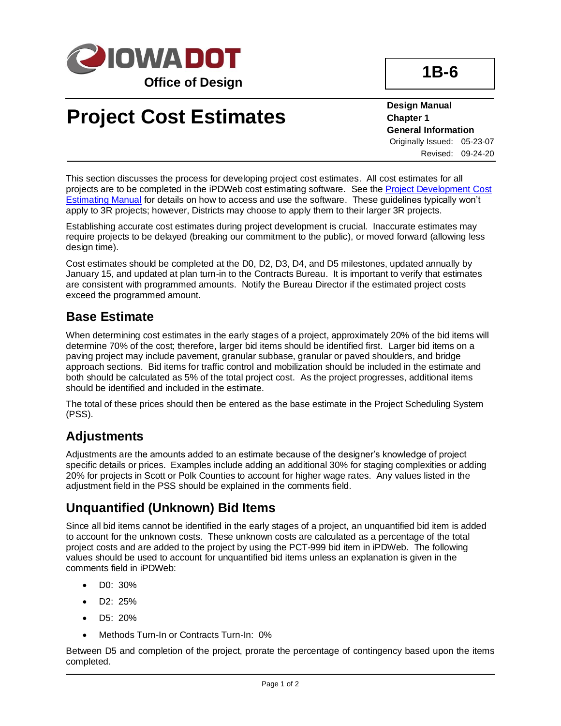

# **Project Cost Estimates**

**Design Manual Chapter 1 General Information** Originally Issued: 05-23-07 Revised: 09-24-20

**1B-6**

This section discusses the process for developing project cost estimates. All cost estimates for all projects are to be completed in the iPDWeb cost estimating software. See the [Project Development Cost](../../projectdev/Project-Development-Cost-Estimating-Manual)  [Estimating Manual](../../projectdev/Project-Development-Cost-Estimating-Manual) for details on how to access and use the software. These guidelines typically won't apply to 3R projects; however, Districts may choose to apply them to their larger 3R projects.

Establishing accurate cost estimates during project development is crucial. Inaccurate estimates may require projects to be delayed (breaking our commitment to the public), or moved forward (allowing less design time).

Cost estimates should be completed at the D0, D2, D3, D4, and D5 milestones, updated annually by January 15, and updated at plan turn-in to the Contracts Bureau. It is important to verify that estimates are consistent with programmed amounts. Notify the Bureau Director if the estimated project costs exceed the programmed amount.

#### **Base Estimate**

When determining cost estimates in the early stages of a project, approximately 20% of the bid items will determine 70% of the cost; therefore, larger bid items should be identified first. Larger bid items on a paving project may include pavement, granular subbase, granular or paved shoulders, and bridge approach sections. Bid items for traffic control and mobilization should be included in the estimate and both should be calculated as 5% of the total project cost. As the project progresses, additional items should be identified and included in the estimate.

The total of these prices should then be entered as the base estimate in the Project Scheduling System (PSS).

#### **Adjustments**

Adjustments are the amounts added to an estimate because of the designer's knowledge of project specific details or prices. Examples include adding an additional 30% for staging complexities or adding 20% for projects in Scott or Polk Counties to account for higher wage rates. Any values listed in the adjustment field in the PSS should be explained in the comments field.

#### **Unquantified (Unknown) Bid Items**

Since all bid items cannot be identified in the early stages of a project, an unquantified bid item is added to account for the unknown costs. These unknown costs are calculated as a percentage of the total project costs and are added to the project by using the PCT-999 bid item in iPDWeb. The following values should be used to account for unquantified bid items unless an explanation is given in the comments field in iPDWeb:

- D0: 30%
- D2: 25%
- D5: 20%
- Methods Turn-In or Contracts Turn-In: 0%

Between D5 and completion of the project, prorate the percentage of contingency based upon the items completed.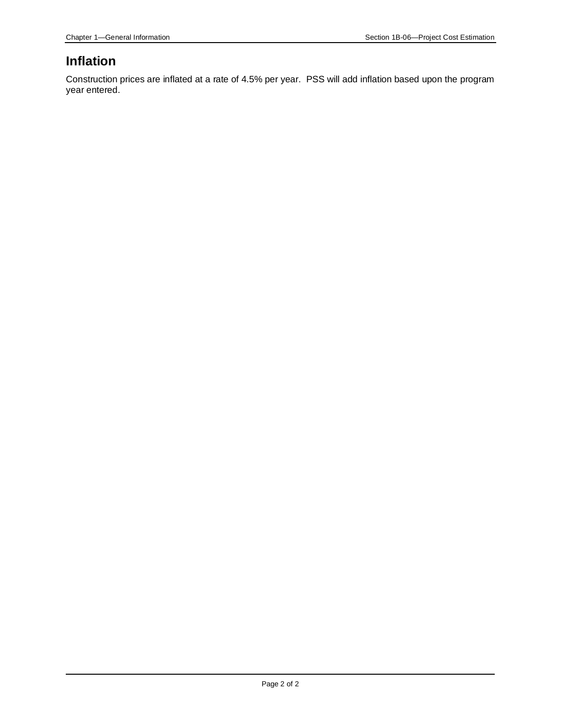### **Inflation**

Construction prices are inflated at a rate of 4.5% per year. PSS will add inflation based upon the program year entered.